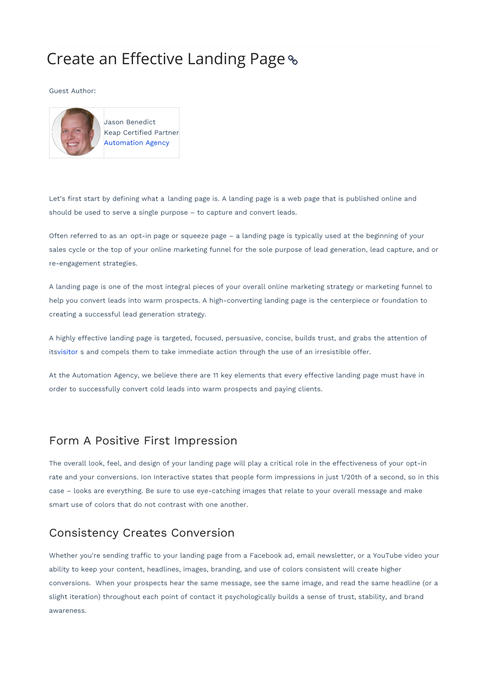# Create an Effective Landing Page

#### Guest Author:



Jason Benedict Keap Certified Partner Automation Agency

Let's first start by defining what a landing page is. A landing page is a web page that is published online and should be used to serve a single purpose – to capture and convert leads.

Often referred to as an opt-in page or squeeze page – a landing page is typically used at the beginning of your sales cycle or the top of your online marketing funnel for the sole purpose of lead generation, lead capture, and or re-engagement strategies.

A landing page is one of the most integral pieces of your overall online marketing strategy or marketing funnel to help you convert leads into warm prospects. A high-converting landing page is the centerpiece or foundation to creating a successful lead generation strategy.

A highly effective landing page is targeted, focused, persuasive, concise, builds trust, and grabs the attention of itsvisitor s and compels them to take immediate action through the use of an irresistible offer.

At the Automation Agency, we believe there are 11 key elements that every effective landing page must have in order to successfully convert cold leads into warm prospects and paying clients.

#### Form A Positive First Impression

The overall look, feel, and design of your landing page will play a critical role in the effectiveness of your opt-in rate and your conversions. Ion Interactive states that people form impressions in just 1/20th of a second, so in this case – looks are everything. Be sure to use eye-catching images that relate to your overall message and make smart use of colors that do not contrast with one another.

# Consistency Creates Conversion

Whether you're sending traffic to your landing page from a Facebook ad, email newsletter, or a YouTube video your ability to keep your content, headlines, images, branding, and use of colors consistent will create higher conversions. When your prospects hear the same message, see the same image, and read the same headline (or a slight iteration) throughout each point of contact it psychologically builds a sense of trust, stability, and brand awareness.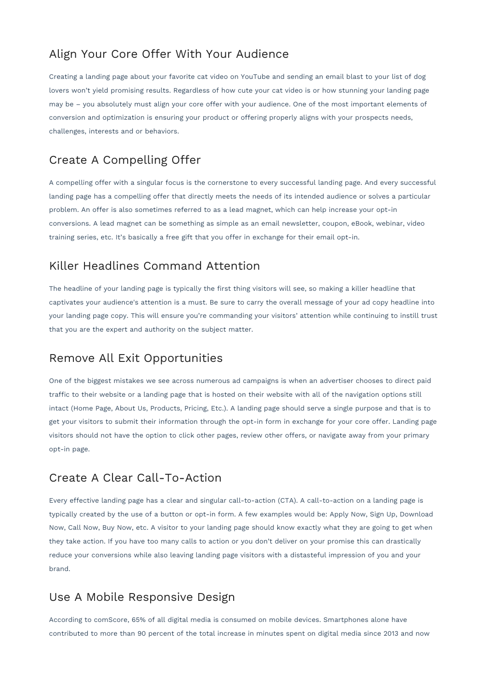# Align Your Core Offer With Your Audience

Creating a landing page about your favorite cat video on YouTube and sending an email blast to your list of dog lovers won't yield promising results. Regardless of how cute your cat video is or how stunning your landing page may be – you absolutely must align your core offer with your audience. One of the most important elements of conversion and optimization is ensuring your product or offering properly aligns with your prospects needs, challenges, interests and or behaviors.

# Create A Compelling Offer

A compelling offer with a singular focus is the cornerstone to every successful landing page. And every successful landing page has a compelling offer that directly meets the needs of its intended audience or solves a particular problem. An offer is also sometimes referred to as a lead magnet, which can help increase your opt-in conversions. A lead magnet can be something as simple as an email newsletter, coupon, eBook, webinar, video training series, etc. It's basically a free gift that you offer in exchange for their email opt-in.

# Killer Headlines Command Attention

The headline of your landing page is typically the first thing visitors will see, so making a killer headline that captivates your audience's attention is a must. Be sure to carry the overall message of your ad copy headline into your landing page copy. This will ensure you're commanding your visitors' attention while continuing to instill trust that you are the expert and authority on the subject matter.

#### Remove All Exit Opportunities

One of the biggest mistakes we see across numerous ad campaigns is when an advertiser chooses to direct paid traffic to their website or a landing page that is hosted on their website with all of the navigation options still intact (Home Page, About Us, Products, Pricing, Etc.). A landing page should serve a single purpose and that is to get your visitors to submit their information through the opt-in form in exchange for your core offer. Landing page visitors should not have the option to click other pages, review other offers, or navigate away from your primary opt-in page.

#### Create A Clear Call-To-Action

Every effective landing page has a clear and singular call-to-action (CTA). A call-to-action on a landing page is typically created by the use of a button or opt-in form. A few examples would be: Apply Now, Sign Up, Download Now, Call Now, Buy Now, etc. A visitor to your landing page should know exactly what they are going to get when they take action. If you have too many calls to action or you don't deliver on your promise this can drastically reduce your conversions while also leaving landing page visitors with a distasteful impression of you and your brand.

# Use A Mobile Responsive Design

According to comScore, 65% of all digital media is consumed on mobile devices. Smartphones alone have contributed to more than 90 percent of the total increase in minutes spent on digital media since 2013 and now